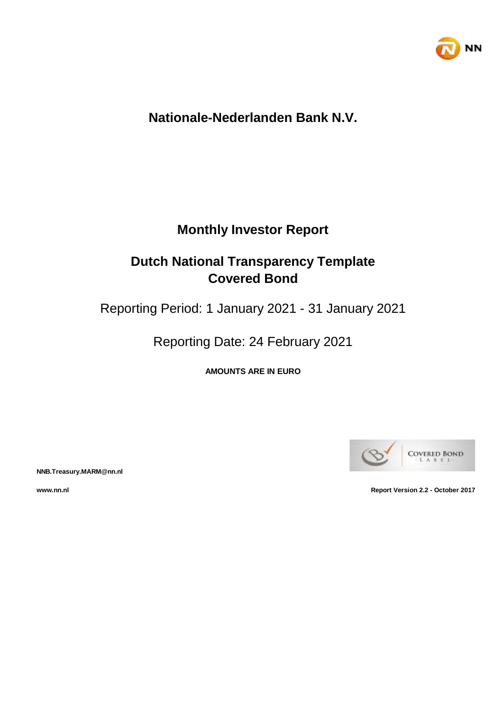

## **Nationale-Nederlanden Bank N.V.**

## **Monthly Investor Report**

# **Dutch National Transparency Template Covered Bond**

Reporting Period: 1 January 2021 - 31 January 2021

Reporting Date: 24 February 2021

**AMOUNTS ARE IN EURO**



**NNB.Treasury.MARM@nn.nl**

**www.nn.nl Report Version 2.2 - October 2017**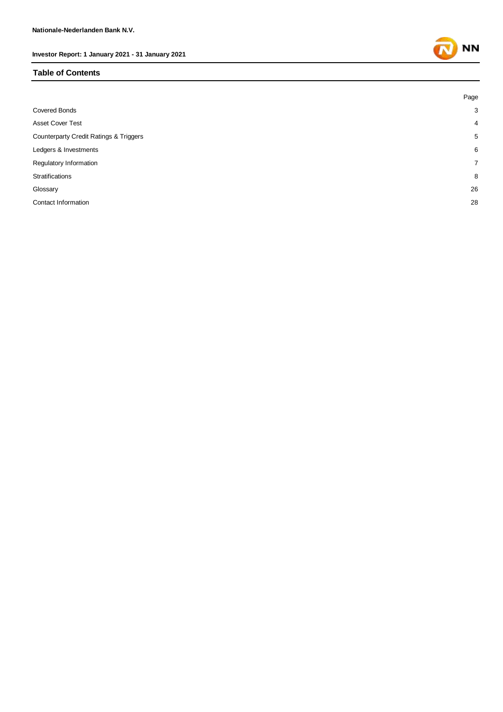#### **Table of Contents**

|                                                   | Page           |
|---------------------------------------------------|----------------|
| <b>Covered Bonds</b>                              | 3              |
| <b>Asset Cover Test</b>                           | $\overline{4}$ |
| <b>Counterparty Credit Ratings &amp; Triggers</b> | 5              |
| Ledgers & Investments                             | 6              |
| Regulatory Information                            | $\overline{7}$ |
| Stratifications                                   | 8              |
| Glossary                                          | 26             |
| Contact Information                               | 28             |
|                                                   |                |

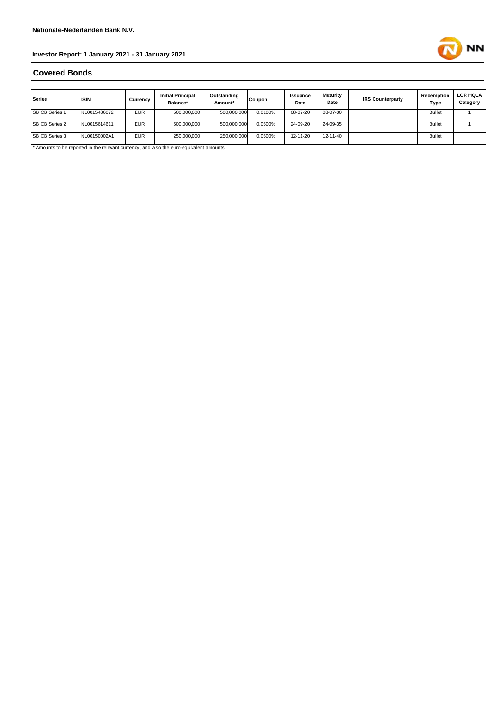

### **Covered Bonds**

| <b>Series</b>  | <b>ISIN</b>  | Currency   | <b>Initial Principal</b><br>Balance* | Outstanding<br>Amount* | <b>Coupon</b> | Issuance<br>Date | Maturity<br>Date | <b>IRS Counterparty</b> | Redemption<br>Type | <b>LCR HQLA I</b><br>Category |
|----------------|--------------|------------|--------------------------------------|------------------------|---------------|------------------|------------------|-------------------------|--------------------|-------------------------------|
| SB CB Series 1 | NL0015436072 | <b>EUR</b> | 500,000,000                          | 500,000,000            | 0.0100%       | 08-07-20         | 08-07-30         |                         | <b>Bullet</b>      |                               |
| SB CB Series 2 | NL0015614611 | <b>EUR</b> | 500,000,000                          | 500,000,000            | 0.0500%       | 24-09-20         | 24-09-35         |                         | <b>Bullet</b>      |                               |
| SB CB Series 3 | NL00150002A1 | <b>EUR</b> | 250,000,000                          | 250,000,000            | 0.0500%       | 12-11-20         | 12-11-40         |                         | <b>Bullet</b>      |                               |

\* Amounts to be reported in the relevant currency, and also the euro-equivalent amounts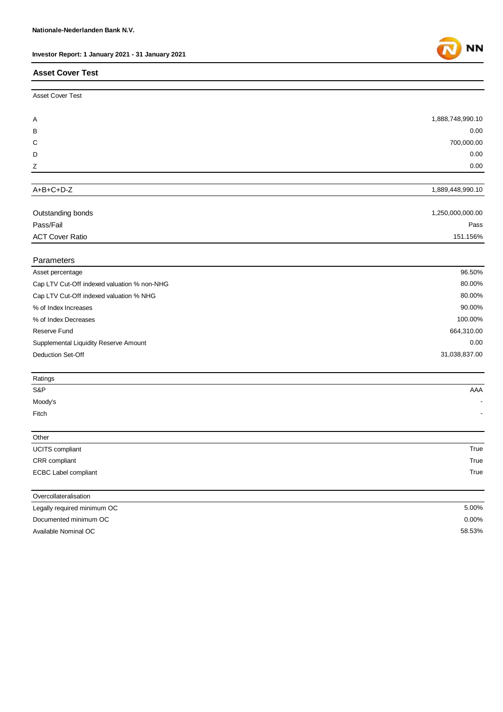### **Asset Cover Test**

| <b>Asset Cover Test</b> |                  |
|-------------------------|------------------|
| A                       | 1,888,748,990.10 |
| B                       | 0.00             |
| C                       | 700,000.00       |
| D                       | 0.00             |
| Z                       | 0.00             |

### A+B+C+D-Z

| Outstanding bonds | 1,250,000,000.00 |
|-------------------|------------------|
| Pass/Fail         | Pass             |
| ACT Cover Ratio   | 151.156%         |
|                   |                  |

### Parameters

| Asset percentage                            | 96.50%        |
|---------------------------------------------|---------------|
| Cap LTV Cut-Off indexed valuation % non-NHG | 80.00%        |
| Cap LTV Cut-Off indexed valuation % NHG     | 80.00%        |
| % of Index Increases                        | 90.00%        |
| % of Index Decreases                        | 100.00%       |
| Reserve Fund                                | 664,310.00    |
| Supplemental Liquidity Reserve Amount       | 0.00          |
| Deduction Set-Off                           | 31,038,837.00 |
|                                             |               |

| Ratings |                          |
|---------|--------------------------|
| S&P     | AAA                      |
| Moody's | $\overline{\phantom{0}}$ |
| Fitch   | $\overline{\phantom{a}}$ |
|         |                          |

| Other                       |      |
|-----------------------------|------|
| <b>UCITS</b> compliant      | True |
| CRR compliant               | True |
| <b>ECBC Label compliant</b> | True |
|                             |      |
| Overcollateralisation       |      |

| Legally required minimum OC | 5.00%    |
|-----------------------------|----------|
| Documented minimum OC       | $0.00\%$ |
| Available Nominal OC        | 58.53%   |



1,889,448,990.10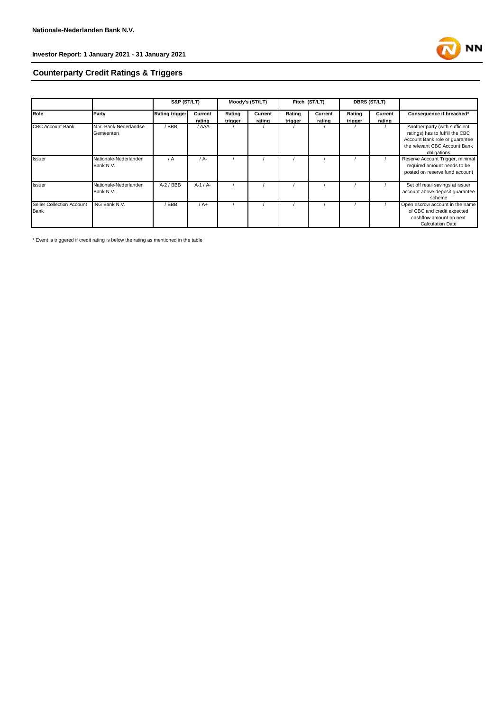

### **Counterparty Credit Ratings & Triggers**

|                           |                       | S&P (ST/LT)           |          |         | Moody's (ST/LT) |         | Fitch (ST/LT) |         | <b>DBRS (ST/LT)</b> |                                  |
|---------------------------|-----------------------|-----------------------|----------|---------|-----------------|---------|---------------|---------|---------------------|----------------------------------|
| Role                      | Party                 | <b>Rating trigger</b> | Current  | Rating  | Current         | Rating  | Current       | Rating  | Current             | Consequence if breached*         |
|                           |                       |                       | rating   | trigger | rating          | trigger | rating        | trigger | rating              |                                  |
| <b>CBC Account Bank</b>   | N.V. Bank Nederlandse | / BBB                 | / AAA    |         |                 |         |               |         |                     | Another party (with sufficient   |
|                           | Gemeenten             |                       |          |         |                 |         |               |         |                     | ratings) has to fulfill the CBC  |
|                           |                       |                       |          |         |                 |         |               |         |                     | Account Bank role or quarantee   |
|                           |                       |                       |          |         |                 |         |               |         |                     | the relevant CBC Account Bank    |
|                           |                       |                       |          |         |                 |         |               |         |                     | obligations                      |
| Issuer                    | Nationale-Nederlanden | / A                   | / A-     |         |                 |         |               |         |                     | Reserve Account Trigger, minimal |
|                           | Bank N.V.             |                       |          |         |                 |         |               |         |                     | required amount needs to be      |
|                           |                       |                       |          |         |                 |         |               |         |                     | posted on reserve fund account   |
|                           |                       |                       |          |         |                 |         |               |         |                     |                                  |
| Issuer                    | Nationale-Nederlanden | $A-2$ / BBB           | $A-1/A-$ |         |                 |         |               |         |                     | Set off retail savings at issuer |
|                           | Bank N.V.             |                       |          |         |                 |         |               |         |                     | account above deposit quarantee  |
|                           |                       |                       |          |         |                 |         |               |         |                     | scheme                           |
| Seller Collection Account | <b>ING Bank N.V.</b>  | / BBB                 | $/A+$    |         |                 |         |               |         |                     | Open escrow account in the name  |
| Bank                      |                       |                       |          |         |                 |         |               |         |                     | of CBC and credit expected       |
|                           |                       |                       |          |         |                 |         |               |         |                     | cashflow amount on next          |
|                           |                       |                       |          |         |                 |         |               |         |                     | <b>Calculation Date</b>          |

\* Event is triggered if credit rating is below the rating as mentioned in the table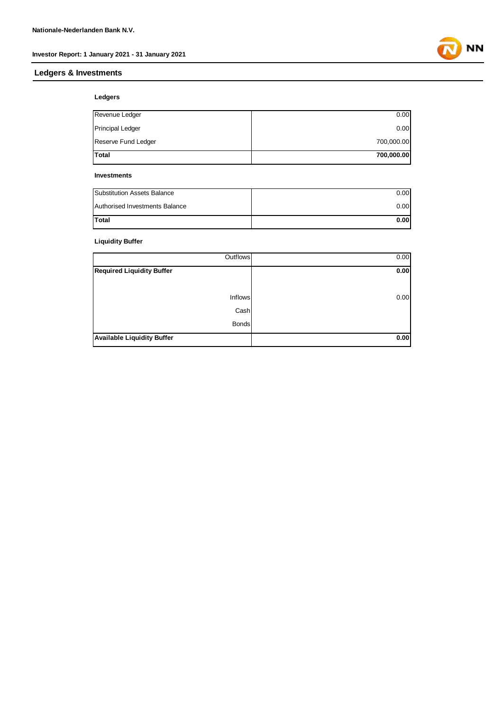### **Ledgers & Investments**

**NN** 

#### **Ledgers**

| Total                   | 700,000.00 |
|-------------------------|------------|
| Reserve Fund Ledger     | 700,000.00 |
| <b>Principal Ledger</b> | 0.00       |
| Revenue Ledger          | 0.00       |

#### **Investments**

| Substitution Assets Balance    | 0.00 |
|--------------------------------|------|
| Authorised Investments Balance | 0.00 |
| <b>Total</b>                   | 0.00 |

### **Liquidity Buffer**

| Outflows                          | 0.00 |
|-----------------------------------|------|
| Required Liquidity Buffer         | 0.00 |
|                                   |      |
| Inflows                           | 0.00 |
| Cash                              |      |
| <b>Bonds</b>                      |      |
| <b>Available Liquidity Buffer</b> | 0.00 |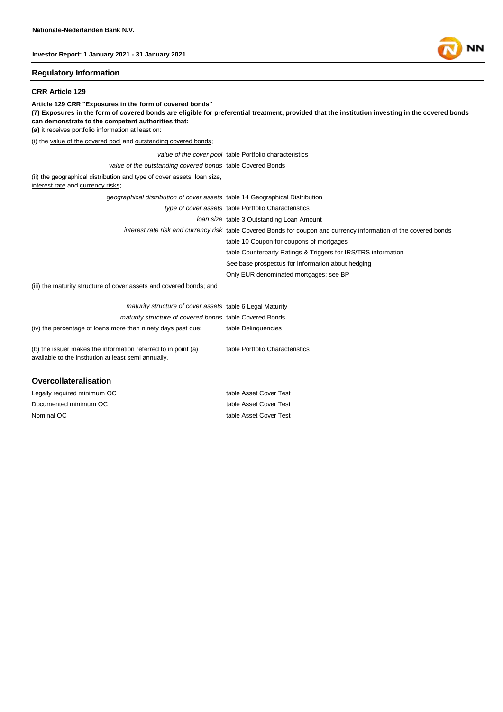#### **Regulatory Information**

#### **CRR Article 129**

**Article 129 CRR "Exposures in the form of covered bonds" (7) Exposures in the form of covered bonds are eligible for preferential treatment, provided that the institution investing in the covered bonds can demonstrate to the competent authorities that: (a)** it receives portfolio information at least on: (i) the value of the covered pool and outstanding covered bonds; *value of the cover pool* table Portfolio characteristics *value of the outstanding covered bonds* table Covered Bonds (ii) the geographical distribution and type of cover assets, loan size, interest rate and currency risks; *geographical distribution of cover assets* table 14 Geographical Distribution *type of cover assets* table Portfolio Characteristics *loan size* table 3 Outstanding Loan Amount *interest rate risk and currency risk* table Covered Bonds for coupon and currency information of the covered bonds table 10 Coupon for coupons of mortgages table Counterparty Ratings & Triggers for IRS/TRS information See base prospectus for information about hedging Only EUR denominated mortgages: see BP (iii) the maturity structure of cover assets and covered bonds; and *maturity structure of cover assets* table 6 Legal Maturity *maturity structure of covered bonds* table Covered Bonds (iv) the percentage of loans more than ninety days past due; table Delinquencies table Portfolio Characteristics

(b) the issuer makes the information referred to in point (a) available to the institution at least semi annually.

#### **Overcollateralisation**

Nominal OC table Asset Cover Test Legally required minimum OC table Asset Cover Test Documented minimum OC table Asset Cover Test

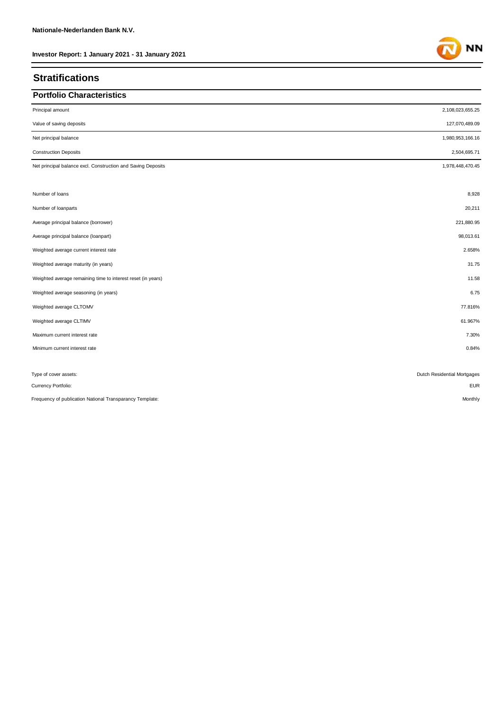### **Stratifications**

| <b>Portfolio Characteristics</b>                             |                             |
|--------------------------------------------------------------|-----------------------------|
| Principal amount                                             | 2,108,023,655.25            |
| Value of saving deposits                                     | 127,070,489.09              |
| Net principal balance                                        | 1,980,953,166.16            |
| <b>Construction Deposits</b>                                 | 2,504,695.71                |
| Net principal balance excl. Construction and Saving Deposits | 1,978,448,470.45            |
| Number of loans                                              | 8,928                       |
| Number of loanparts                                          | 20,211                      |
| Average principal balance (borrower)                         | 221,880.95                  |
| Average principal balance (loanpart)                         | 98,013.61                   |
| Weighted average current interest rate                       | 2.658%                      |
| Weighted average maturity (in years)                         | 31.75                       |
| Weighted average remaining time to interest reset (in years) | 11.58                       |
| Weighted average seasoning (in years)                        | 6.75                        |
| Weighted average CLTOMV                                      | 77.816%                     |
| Weighted average CLTIMV                                      | 61.967%                     |
| Maximum current interest rate                                | 7.30%                       |
| Minimum current interest rate                                | 0.84%                       |
| Type of cover assets:                                        | Dutch Residential Mortgages |
| Currency Portfolio:                                          | <b>EUR</b>                  |

Frequency of publication National Transparancy Template: Monthly

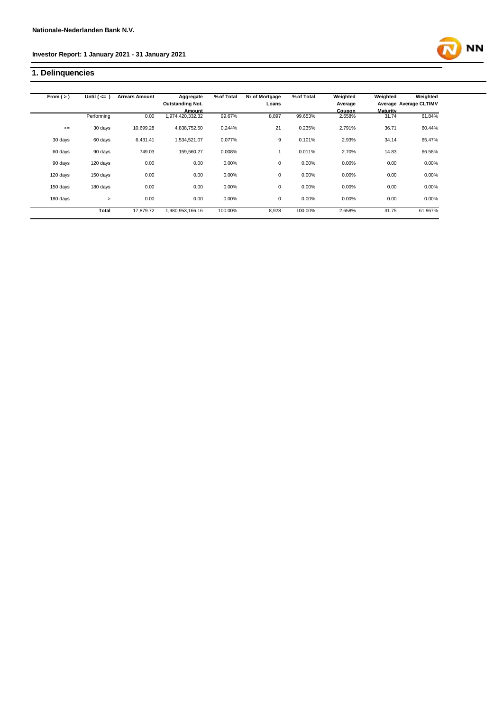### **1. Delinquencies**



| From $(>)$ | Until $($ <= $)$ | <b>Arrears Amount</b> | Aggregate               | % of Total | Nr of Mortgage | % of Total | Weighted      | Weighted        | Weighted               |
|------------|------------------|-----------------------|-------------------------|------------|----------------|------------|---------------|-----------------|------------------------|
|            |                  |                       | <b>Outstanding Not.</b> |            | Loans          |            | Average       |                 | Average Average CLTIMV |
|            |                  |                       | Amount                  |            |                |            | <b>Coupon</b> | <b>Maturity</b> |                        |
|            | Performing       | 0.00                  | 1,974,420,332.32        | 99.67%     | 8,897          | 99.653%    | 2.658%        | 31.74           | 61.84%                 |
| $\leq$     | 30 days          | 10,699.28             | 4,838,752.50            | 0.244%     | 21             | 0.235%     | 2.791%        | 36.71           | 60.44%                 |
| 30 days    | 60 days          | 6.431.41              | 1,534,521.07            | 0.077%     | 9              | 0.101%     | 2.93%         | 34.14           | 65.47%                 |
| 60 days    | 90 days          | 749.03                | 159,560.27              | 0.008%     |                | 0.011%     | 2.70%         | 14.83           | 66.58%                 |
| 90 days    | 120 days         | 0.00                  | 0.00                    | 0.00%      | 0              | 0.00%      | 0.00%         | 0.00            | 0.00%                  |
| 120 days   | 150 days         | 0.00                  | 0.00                    | 0.00%      | $\mathbf 0$    | 0.00%      | 0.00%         | 0.00            | 0.00%                  |
| 150 days   | 180 days         | 0.00                  | 0.00                    | 0.00%      | 0              | 0.00%      | 0.00%         | 0.00            | 0.00%                  |
| 180 days   | $\geq$           | 0.00                  | 0.00                    | 0.00%      | 0              | 0.00%      | 0.00%         | 0.00            | 0.00%                  |
|            | <b>Total</b>     | 17,879.72             | 1,980,953,166.16        | 100.00%    | 8,928          | 100.00%    | 2.658%        | 31.75           | 61.967%                |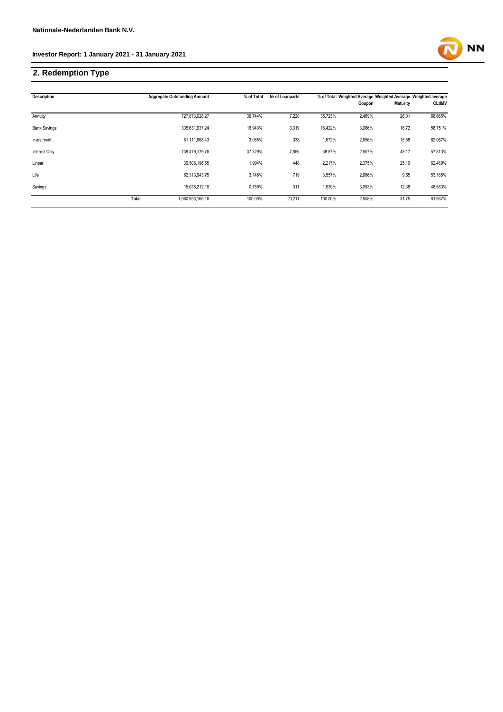### **2. Redemption Type**

 $\ddot{\phantom{a}}$ 

|       | % of Total                                                                                                                                                                        | Nr of Loanparts |         |        |          |                                                               |  |
|-------|-----------------------------------------------------------------------------------------------------------------------------------------------------------------------------------|-----------------|---------|--------|----------|---------------------------------------------------------------|--|
|       |                                                                                                                                                                                   |                 |         | Coupon | Maturity | <b>CLtIMV</b>                                                 |  |
|       | 36.744%                                                                                                                                                                           | 7,220           | 35.723% | 2.469% | 26.01    | 68.665%                                                       |  |
|       | 16.943%                                                                                                                                                                           | 3,319           | 16.422% | 3.086% | 16.72    | 58.751%                                                       |  |
|       | 3.085%                                                                                                                                                                            | 338             | 1.672%  | 2.656% | 15.58    | 62.057%                                                       |  |
|       | 37.329%                                                                                                                                                                           | 7,856           | 38.87%  | 2.657% | 48.17    | 57.813%                                                       |  |
|       | 1.994%                                                                                                                                                                            | 448             | 2.217%  | 2.375% | 25.10    | 62.469%                                                       |  |
|       | 3.146%                                                                                                                                                                            | 719             | 3.557%  | 2.666% | 9.65     | 53.165%                                                       |  |
|       | 0.759%                                                                                                                                                                            | 311             | 1.539%  | 3.053% | 12.38    | 48.683%                                                       |  |
| Total | 100.00%                                                                                                                                                                           | 20,211          | 100.00% | 2.658% | 31.75    | 61.967%                                                       |  |
|       | <b>Aggregate Outstanding Amount</b><br>727,873,028.27<br>335,631,937.24<br>61,111,668.43<br>739,479,179.76<br>39,508,196.55<br>62,313,943.75<br>15,035,212.16<br>1,980,953,166.16 |                 |         |        |          | % of Total Weighted Average Weighted Average Weighted average |  |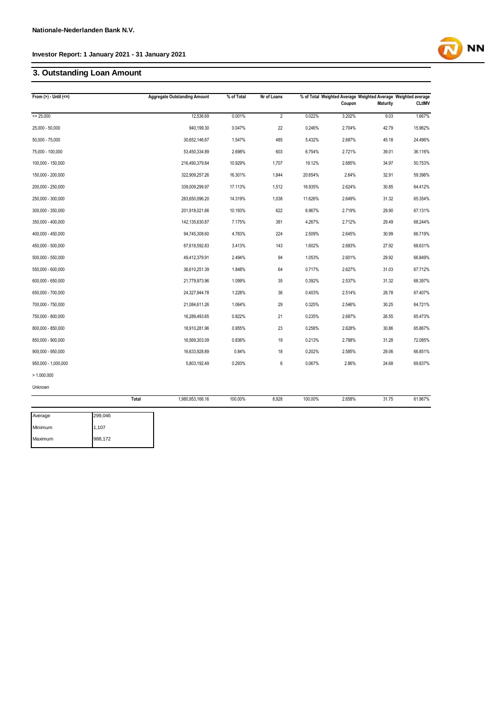### **3. Outstanding Loan Amount**

| From $(>)$ - Until $(<=)$ | <b>Aggregate Outstanding Amount</b> | % of Total | Nr of Loans |         | Coupon | % of Total Weighted Average Weighted Average Weighted average<br><b>Maturity</b> | <b>CLtIMV</b> |
|---------------------------|-------------------------------------|------------|-------------|---------|--------|----------------------------------------------------------------------------------|---------------|
| $= 25.000$                | 12,536.69                           | 0.001%     | 2           | 0.022%  | 3.202% | 9.03                                                                             | 1.667%        |
| 25,000 - 50,000           | 940,199.30                          | 0.047%     | 22          | 0.246%  | 2.704% | 42.79                                                                            | 15.962%       |
| $50,000 - 75,000$         | 30,652,146.67                       | 1.547%     | 485         | 5.432%  | 2.687% | 45.18                                                                            | 24.496%       |
| 75,000 - 100,000          | 53,450,334.89                       | 2.698%     | 603         | 6.754%  | 2.721% | 39.01                                                                            | 36.116%       |
| 100,000 - 150,000         | 216,490,379.84                      | 10.929%    | 1,707       | 19.12%  | 2.685% | 34.97                                                                            | 50.753%       |
| 150,000 - 200,000         | 322,909,257.26                      | 16.301%    | 1,844       | 20.654% | 2.64%  | 32.91                                                                            | 59.396%       |
| 200,000 - 250,000         | 339,009,299.97                      | 17.113%    | 1,512       | 16.935% | 2.624% | 30.85                                                                            | 64.412%       |
| 250,000 - 300,000         | 283,650,096.20                      | 14.319%    | 1,038       | 11.626% | 2.649% | 31.32                                                                            | 65.354%       |
| 300,000 - 350,000         | 201,918,021.66                      | 10.193%    | 622         | 6.967%  | 2.719% | 29.90                                                                            | 67.131%       |
| 350,000 - 400,000         | 142,135,630.87                      | 7.175%     | 381         | 4.267%  | 2.712% | 29.49                                                                            | 68.244%       |
| 400,000 - 450,000         | 94,745,308.60                       | 4.783%     | 224         | 2.509%  | 2.645% | 30.99                                                                            | 66.719%       |
| 450,000 - 500,000         | 67,618,592.83                       | 3.413%     | 143         | 1.602%  | 2.683% | 27.92                                                                            | 68.631%       |
| 500,000 - 550,000         | 49,412,379.91                       | 2.494%     | 94          | 1.053%  | 2.601% | 29.92                                                                            | 66.849%       |
| 550,000 - 600,000         | 36,610,251.39                       | 1.848%     | 64          | 0.717%  | 2.627% | 31.03                                                                            | 67.712%       |
| 600,000 - 650,000         | 21,779,973.96                       | 1.099%     | 35          | 0.392%  | 2.537% | 31.32                                                                            | 68.397%       |
| 650,000 - 700,000         | 24,327,944.78                       | 1.228%     | 36          | 0.403%  | 2.514% | 28.78                                                                            | 67.407%       |
| 700,000 - 750,000         | 21,084,611.26                       | 1.064%     | 29          | 0.325%  | 2.546% | 30.25                                                                            | 64.721%       |
| 750,000 - 800,000         | 16,289,493.65                       | 0.822%     | 21          | 0.235%  | 2.687% | 26.55                                                                            | 65.473%       |
| 800,000 - 850,000         | 18,910,281.96                       | 0.955%     | 23          | 0.258%  | 2.628% | 30.86                                                                            | 65.867%       |
| 850,000 - 900,000         | 16,569,303.09                       | 0.836%     | 19          | 0.213%  | 2.788% | 31.28                                                                            | 72.085%       |
| 900,000 - 950,000         | 16,633,928.89                       | 0.84%      | 18          | 0.202%  | 2.585% | 29.06                                                                            | 66.851%       |
| 950,000 - 1,000,000       | 5,803,192.49                        | 0.293%     | 6           | 0.067%  | 2.86%  | 24.68                                                                            | 69.837%       |
| > 1.000.000               |                                     |            |             |         |        |                                                                                  |               |
| Unknown                   |                                     |            |             |         |        |                                                                                  |               |
|                           | Total<br>1,980,953,166.16           | 100.00%    | 8,928       | 100.00% | 2.658% | 31.75                                                                            | 61.967%       |

**NN** 

| Average | 299,046 |
|---------|---------|
| Minimum | 1,107   |
| Maximum | 988,172 |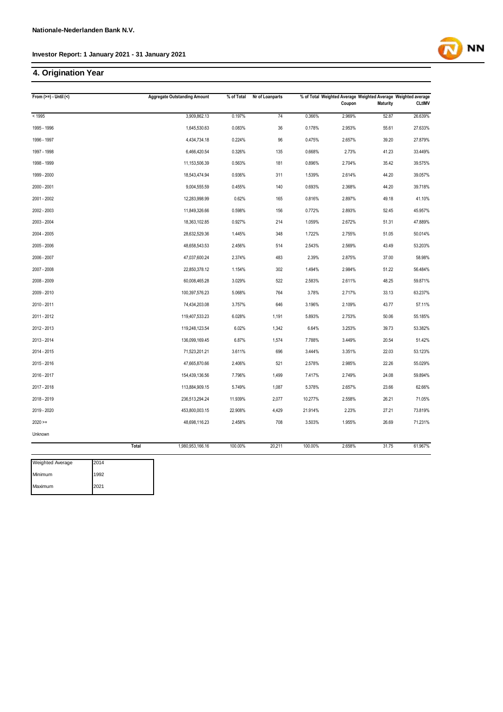### **4. Origination Year**

| From $(>=) -$ Until $($  |       | <b>Aggregate Outstanding Amount</b> |         | Nr of Loanparts |         | % of Total Weighted Average Weighted Average Weighted average |                 |               |  |
|--------------------------|-------|-------------------------------------|---------|-----------------|---------|---------------------------------------------------------------|-----------------|---------------|--|
|                          |       |                                     |         |                 |         | Coupon                                                        | <b>Maturity</b> | <b>CLtIMV</b> |  |
| < 1995                   |       | 3,909,862.13                        | 0.197%  | 74              | 0.366%  | 2.969%                                                        | 52.87           | 26.639%       |  |
| 1995 - 1996              |       | 1,645,530.63                        | 0.083%  | 36              | 0.178%  | 2.953%                                                        | 55.61           | 27.633%       |  |
| 1996 - 1997              |       | 4,434,734.18                        | 0.224%  | 96              | 0.475%  | 2.657%                                                        | 39.20           | 27.879%       |  |
| 1997 - 1998              |       | 6,466,420.54                        | 0.326%  | 135             | 0.668%  | 2.73%                                                         | 41.23           | 33.449%       |  |
| 1998 - 1999              |       | 11,153,506.39                       | 0.563%  | 181             | 0.896%  | 2.704%                                                        | 35.42           | 39.575%       |  |
| 1999 - 2000              |       | 18,543,474.94                       | 0.936%  | 311             | 1.539%  | 2.614%                                                        | 44.20           | 39.057%       |  |
| 2000 - 2001              |       | 9,004,555.59                        | 0.455%  | 140             | 0.693%  | 2.368%                                                        | 44.20           | 39.718%       |  |
| 2001 - 2002              |       | 12,283,998.99                       | 0.62%   | 165             | 0.816%  | 2.897%                                                        | 49.18           | 41.10%        |  |
| 2002 - 2003              |       | 11,849,326.66                       | 0.598%  | 156             | 0.772%  | 2.893%                                                        | 52.45           | 45.957%       |  |
| 2003 - 2004              |       | 18,363,102.85                       | 0.927%  | 214             | 1.059%  | 2.672%                                                        | 51.31           | 47.889%       |  |
| 2004 - 2005              |       | 28,632,529.36                       | 1.445%  | 348             | 1.722%  | 2.755%                                                        | 51.05           | 50.014%       |  |
| 2005 - 2006              |       | 48,658,543.53                       | 2.456%  | 514             | 2.543%  | 2.569%                                                        | 43.49           | 53.203%       |  |
| 2006 - 2007              |       | 47,037,600.24                       | 2.374%  | 483             | 2.39%   | 2.875%                                                        | 37.00           | 58.98%        |  |
| 2007 - 2008              |       | 22,850,378.12                       | 1.154%  | 302             | 1.494%  | 2.984%                                                        | 51.22           | 56.484%       |  |
| 2008 - 2009              |       | 60,008,465.28                       | 3.029%  | 522             | 2.583%  | 2.611%                                                        | 48.25           | 59.871%       |  |
| 2009 - 2010              |       | 100,397,576.23                      | 5.068%  | 764             | 3.78%   | 2.717%                                                        | 33.13           | 63.237%       |  |
| 2010 - 2011              |       | 74,434,203.08                       | 3.757%  | 646             | 3.196%  | 2.109%                                                        | 43.77           | 57.11%        |  |
| 2011 - 2012              |       | 119,407,533.23                      | 6.028%  | 1,191           | 5.893%  | 2.753%                                                        | 50.06           | 55.185%       |  |
| 2012 - 2013              |       | 119,248,123.54                      | 6.02%   | 1,342           | 6.64%   | 3.253%                                                        | 39.73           | 53.382%       |  |
| 2013 - 2014              |       | 136,099,169.45                      | 6.87%   | 1,574           | 7.788%  | 3.449%                                                        | 20.54           | 51.42%        |  |
| 2014 - 2015              |       | 71,523,201.21                       | 3.611%  | 696             | 3.444%  | 3.351%                                                        | 22.03           | 53.123%       |  |
| 2015 - 2016              |       | 47,665,870.66                       | 2.406%  | 521             | 2.578%  | 2.985%                                                        | 22.26           | 55.029%       |  |
| 2016 - 2017              |       | 154,439,136.56                      | 7.796%  | 1,499           | 7.417%  | 2.749%                                                        | 24.08           | 59.894%       |  |
| 2017 - 2018              |       | 113,884,909.15                      | 5.749%  | 1,087           | 5.378%  | 2.657%                                                        | 23.66           | 62.66%        |  |
| 2018 - 2019              |       | 236,513,294.24                      | 11.939% | 2,077           | 10.277% | 2.558%                                                        | 26.21           | 71.05%        |  |
| 2019 - 2020              |       | 453,800,003.15                      | 22.908% | 4,429           | 21.914% | 2.23%                                                         | 27.21           | 73.819%       |  |
| $2020 =$                 |       | 48,698,116.23                       | 2.458%  | 708             | 3.503%  | 1.955%                                                        | 26.69           | 71.231%       |  |
| Unknown                  |       |                                     |         |                 |         |                                                               |                 |               |  |
|                          | Total | 1,980,953,166.16                    | 100.00% | 20,211          | 100.00% | 2.658%                                                        | 31.75           | 61.967%       |  |
| 2014<br>Weighted Average |       |                                     |         |                 |         |                                                               |                 |               |  |

| vveignted Average | <b>IZU14</b> |
|-------------------|--------------|
| Minimum           | 1992         |
| Maximum           | 2021         |

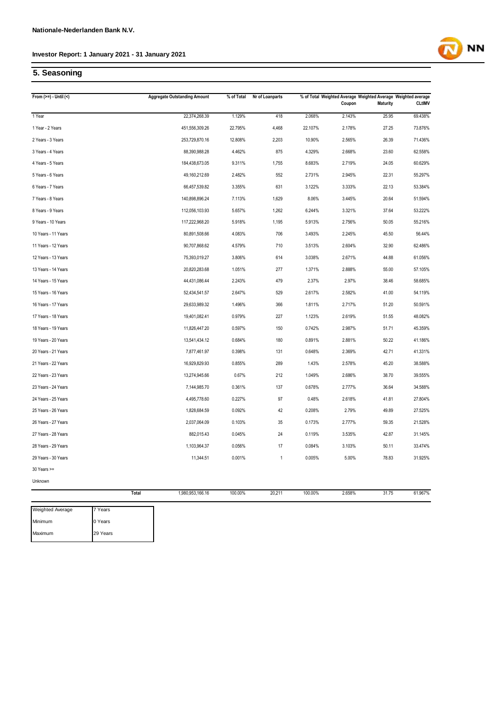### **5. Seasoning**

Maximum

29 Years

| From $(>=) -$ Until $($ |         | <b>Aggregate Outstanding Amount</b> | % of Total | Nr of Loanparts |         | Coupon | <b>Maturity</b> | % of Total Weighted Average Weighted Average Weighted average<br><b>CLtIMV</b> |
|-------------------------|---------|-------------------------------------|------------|-----------------|---------|--------|-----------------|--------------------------------------------------------------------------------|
| 1 Year                  |         | 22,374,268.39                       | 1.129%     | 418             | 2.068%  | 2.143% | 25.95           | 69.438%                                                                        |
| 1 Year - 2 Years        |         | 451,556,309.26                      | 22.795%    | 4,468           | 22.107% | 2.178% | 27.25           | 73.876%                                                                        |
| 2 Years - 3 Years       |         | 253,729,870.16                      | 12.808%    | 2,203           | 10.90%  | 2.565% | 26.39           | 71.436%                                                                        |
| 3 Years - 4 Years       |         | 88,390,988.28                       | 4.462%     | 875             | 4.329%  | 2.668% | 23.60           | 62.558%                                                                        |
| 4 Years - 5 Years       |         | 184,438,673.05                      | 9.311%     | 1,755           | 8.683%  | 2.719% | 24.05           | 60.629%                                                                        |
| 5 Years - 6 Years       |         | 49,160,212.69                       | 2.482%     | 552             | 2.731%  | 2.945% | 22.31           | 55.297%                                                                        |
| 6 Years - 7 Years       |         | 66,457,539.82                       | 3.355%     | 631             | 3.122%  | 3.333% | 22.13           | 53.384%                                                                        |
| 7 Years - 8 Years       |         | 140,898,896.24                      | 7.113%     | 1,629           | 8.06%   | 3.445% | 20.64           | 51.594%                                                                        |
| 8 Years - 9 Years       |         | 112,056,103.93                      | 5.657%     | 1,262           | 6.244%  | 3.321% | 37.64           | 53.222%                                                                        |
| 9 Years - 10 Years      |         | 117,222,968.20                      | 5.918%     | 1,195           | 5.913%  | 2.756% | 50.05           | 55.216%                                                                        |
| 10 Years - 11 Years     |         | 80,891,508.66                       | 4.083%     | 706             | 3.493%  | 2.245% | 45.50           | 56.44%                                                                         |
| 11 Years - 12 Years     |         | 90,707,868.62                       | 4.579%     | 710             | 3.513%  | 2.604% | 32.90           | 62.486%                                                                        |
| 12 Years - 13 Years     |         | 75,393,019.27                       | 3.806%     | 614             | 3.038%  | 2.671% | 44.88           | 61.056%                                                                        |
| 13 Years - 14 Years     |         | 20,820,283.68                       | 1.051%     | 277             | 1.371%  | 2.888% | 55.00           | 57.105%                                                                        |
| 14 Years - 15 Years     |         | 44,431,086.44                       | 2.243%     | 479             | 2.37%   | 2.97%  | 38.46           | 58.685%                                                                        |
| 15 Years - 16 Years     |         | 52,434,541.57                       | 2.647%     | 529             | 2.617%  | 2.582% | 41.00           | 54.119%                                                                        |
| 16 Years - 17 Years     |         | 29,633,989.32                       | 1.496%     | 366             | 1.811%  | 2.717% | 51.20           | 50.591%                                                                        |
| 17 Years - 18 Years     |         | 19,401,082.41                       | 0.979%     | 227             | 1.123%  | 2.619% | 51.55           | 48.082%                                                                        |
| 18 Years - 19 Years     |         | 11,826,447.20                       | 0.597%     | 150             | 0.742%  | 2.987% | 51.71           | 45.359%                                                                        |
| 19 Years - 20 Years     |         | 13,541,434.12                       | 0.684%     | 180             | 0.891%  | 2.881% | 50.22           | 41.186%                                                                        |
| 20 Years - 21 Years     |         | 7,877,461.97                        | 0.398%     | 131             | 0.648%  | 2.369% | 42.71           | 41.331%                                                                        |
| 21 Years - 22 Years     |         | 16,929,829.93                       | 0.855%     | 289             | 1.43%   | 2.578% | 45.20           | 38.588%                                                                        |
| 22 Years - 23 Years     |         | 13,274,945.66                       | 0.67%      | 212             | 1.049%  | 2.686% | 38.70           | 39.555%                                                                        |
| 23 Years - 24 Years     |         | 7,144,985.70                        | 0.361%     | 137             | 0.678%  | 2.777% | 36.64           | 34.588%                                                                        |
| 24 Years - 25 Years     |         | 4,495,778.60                        | 0.227%     | 97              | 0.48%   | 2.618% | 41.81           | 27.804%                                                                        |
| 25 Years - 26 Years     |         | 1,828,684.59                        | 0.092%     | 42              | 0.208%  | 2.79%  | 49.89           | 27.525%                                                                        |
| 26 Years - 27 Years     |         | 2,037,064.09                        | 0.103%     | 35              | 0.173%  | 2.777% | 59.35           | 21.528%                                                                        |
| 27 Years - 28 Years     |         | 882,015.43                          | 0.045%     | 24              | 0.119%  | 3.535% | 42.87           | 31.145%                                                                        |
| 28 Years - 29 Years     |         | 1,103,964.37                        | 0.056%     | 17              | 0.084%  | 3.103% | 50.11           | 33.474%                                                                        |
| 29 Years - 30 Years     |         | 11,344.51                           | 0.001%     | $\mathbf{1}$    | 0.005%  | 5.00%  | 78.83           | 31.925%                                                                        |
| 30 Years >=             |         |                                     |            |                 |         |        |                 |                                                                                |
| Unknown                 |         |                                     |            |                 |         |        |                 |                                                                                |
|                         | Total   | 1,980,953,166.16                    | 100.00%    | 20,211          | 100.00% | 2.658% | 31.75           | 61.967%                                                                        |
| <b>Weighted Average</b> | 7 Years |                                     |            |                 |         |        |                 |                                                                                |
| Minimum                 | 0 Years |                                     |            |                 |         |        |                 |                                                                                |

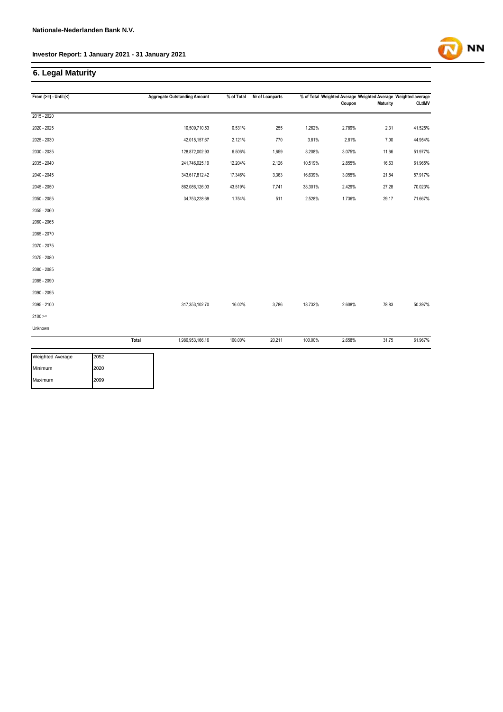### **6. Legal Maturity**

| From $(>=) -$ Until $($ |       | <b>Aggregate Outstanding Amount</b> | % of Total | Nr of Loanparts |         | % of Total Weighted Average Weighted Average Weighted average<br>Coupon | <b>Maturity</b> | <b>CLtIMV</b> |
|-------------------------|-------|-------------------------------------|------------|-----------------|---------|-------------------------------------------------------------------------|-----------------|---------------|
| 2015 - 2020             |       |                                     |            |                 |         |                                                                         |                 |               |
| 2020 - 2025             |       | 10,509,710.53                       | 0.531%     | 255             | 1.262%  | 2.789%                                                                  | 2.31            | 41.525%       |
| 2025 - 2030             |       | 42,015,157.67                       | 2.121%     | 770             | 3.81%   | 2.81%                                                                   | 7.00            | 44.954%       |
| 2030 - 2035             |       | 128,872,002.93                      | 6.506%     | 1,659           | 8.208%  | 3.075%                                                                  | 11.66           | 51.977%       |
| 2035 - 2040             |       | 241,746,025.19                      | 12.204%    | 2,126           | 10.519% | 2.855%                                                                  | 16.63           | 61.965%       |
| 2040 - 2045             |       | 343,617,812.42                      | 17.346%    | 3,363           | 16.639% | 3.055%                                                                  | 21.84           | 57.917%       |
| 2045 - 2050             |       | 862,086,126.03                      | 43.519%    | 7,741           | 38.301% | 2.429%                                                                  | 27.28           | 70.023%       |
| 2050 - 2055             |       | 34,753,228.69                       | 1.754%     | 511             | 2.528%  | 1.736%                                                                  | 29.17           | 71.667%       |
| 2055 - 2060             |       |                                     |            |                 |         |                                                                         |                 |               |
| 2060 - 2065             |       |                                     |            |                 |         |                                                                         |                 |               |
| 2065 - 2070             |       |                                     |            |                 |         |                                                                         |                 |               |
| 2070 - 2075             |       |                                     |            |                 |         |                                                                         |                 |               |
| 2075 - 2080             |       |                                     |            |                 |         |                                                                         |                 |               |
| 2080 - 2085             |       |                                     |            |                 |         |                                                                         |                 |               |
| 2085 - 2090             |       |                                     |            |                 |         |                                                                         |                 |               |
| 2090 - 2095             |       |                                     |            |                 |         |                                                                         |                 |               |
| 2095 - 2100             |       | 317,353,102.70                      | 16.02%     | 3,786           | 18.732% | 2.608%                                                                  | 78.83           | 50.397%       |
| $2100 >=$               |       |                                     |            |                 |         |                                                                         |                 |               |
| Unknown                 |       |                                     |            |                 |         |                                                                         |                 |               |
|                         | Total | 1,980,953,166.16                    | 100.00%    | 20,211          | 100.00% | 2.658%                                                                  | 31.75           | 61.967%       |
| <b>Weighted Average</b> | 2052  |                                     |            |                 |         |                                                                         |                 |               |

| <b>Weighted Average</b> | LZUƏZ |
|-------------------------|-------|
| Minimum                 | 2020  |
| Maximum                 | 2099  |

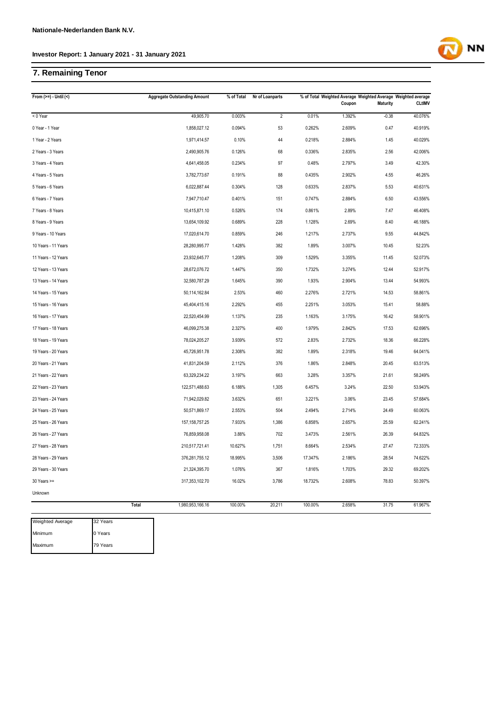### **7. Remaining Tenor**

| From $(>=) -$ Until $($ |       | <b>Aggregate Outstanding Amount</b> | % of Total | Nr of Loanparts |         | % of Total Weighted Average Weighted Average Weighted average<br>Coupon | <b>Maturity</b> | <b>CLtIMV</b> |
|-------------------------|-------|-------------------------------------|------------|-----------------|---------|-------------------------------------------------------------------------|-----------------|---------------|
| < 0 Year                |       | 49,905.70                           | 0.003%     | $\overline{2}$  | 0.01%   | 1.392%                                                                  | $-0.38$         | 40.076%       |
| 0 Year - 1 Year         |       | 1,858,027.12                        | 0.094%     | 53              | 0.262%  | 2.609%                                                                  | 0.47            | 40.919%       |
| 1 Year - 2 Years        |       | 1,971,414.57                        | 0.10%      | 44              | 0.218%  | 2.884%                                                                  | 1.45            | 40.029%       |
| 2 Years - 3 Years       |       | 2,490,905.76                        | 0.126%     | 68              | 0.336%  | 2.835%                                                                  | 2.56            | 42.006%       |
| 3 Years - 4 Years       |       | 4,641,458.05                        | 0.234%     | 97              | 0.48%   | 2.797%                                                                  | 3.49            | 42.30%        |
| 4 Years - 5 Years       |       | 3,782,773.67                        | 0.191%     | 88              | 0.435%  | 2.902%                                                                  | 4.55            | 46.26%        |
| 5 Years - 6 Years       |       | 6,022,887.44                        | 0.304%     | 128             | 0.633%  | 2.837%                                                                  | 5.53            | 40.631%       |
| 6 Years - 7 Years       |       | 7,947,710.47                        | 0.401%     | 151             | 0.747%  | 2.884%                                                                  | 6.50            | 43.556%       |
| 7 Years - 8 Years       |       | 10,415,871.10                       | 0.526%     | 174             | 0.861%  | 2.89%                                                                   | 7.47            | 46.408%       |
| 8 Years - 9 Years       |       | 13,654,109.92                       | 0.689%     | 228             | 1.128%  | 2.69%                                                                   | 8.40            | 46.188%       |
| 9 Years - 10 Years      |       | 17,020,614.70                       | 0.859%     | 246             | 1.217%  | 2.737%                                                                  | 9.55            | 44.842%       |
| 10 Years - 11 Years     |       | 28,280,995.77                       | 1.428%     | 382             | 1.89%   | 3.007%                                                                  | 10.45           | 52.23%        |
| 11 Years - 12 Years     |       | 23,932,645.77                       | 1.208%     | 309             | 1.529%  | 3.355%                                                                  | 11.45           | 52.073%       |
| 12 Years - 13 Years     |       | 28,672,076.72                       | 1.447%     | 350             | 1.732%  | 3.274%                                                                  | 12.44           | 52.917%       |
| 13 Years - 14 Years     |       | 32,580,787.29                       | 1.645%     | 390             | 1.93%   | 2.904%                                                                  | 13.44           | 54.993%       |
| 14 Years - 15 Years     |       | 50,114,162.84                       | 2.53%      | 460             | 2.276%  | 2.721%                                                                  | 14.53           | 58.861%       |
| 15 Years - 16 Years     |       | 45,404,415.16                       | 2.292%     | 455             | 2.251%  | 3.053%                                                                  | 15.41           | 58.88%        |
| 16 Years - 17 Years     |       | 22,520,454.99                       | 1.137%     | 235             | 1.163%  | 3.175%                                                                  | 16.42           | 58.901%       |
| 17 Years - 18 Years     |       | 46,099,275.38                       | 2.327%     | 400             | 1.979%  | 2.842%                                                                  | 17.53           | 62.696%       |
| 18 Years - 19 Years     |       | 78,024,205.27                       | 3.939%     | 572             | 2.83%   | 2.732%                                                                  | 18.36           | 66.228%       |
| 19 Years - 20 Years     |       | 45,726,951.78                       | 2.308%     | 382             | 1.89%   | 2.318%                                                                  | 19.46           | 64.041%       |
| 20 Years - 21 Years     |       | 41,831,204.59                       | 2.112%     | 376             | 1.86%   | 2.848%                                                                  | 20.45           | 63.513%       |
| 21 Years - 22 Years     |       | 63,329,234.22                       | 3.197%     | 663             | 3.28%   | 3.357%                                                                  | 21.61           | 58.249%       |
| 22 Years - 23 Years     |       | 122,571,488.63                      | 6.188%     | 1,305           | 6.457%  | 3.24%                                                                   | 22.50           | 53.943%       |
| 23 Years - 24 Years     |       | 71,942,029.82                       | 3.632%     | 651             | 3.221%  | 3.06%                                                                   | 23.45           | 57.684%       |
| 24 Years - 25 Years     |       | 50,571,869.17                       | 2.553%     | 504             | 2.494%  | 2.714%                                                                  | 24.49           | 60.063%       |
| 25 Years - 26 Years     |       | 157, 158, 757. 25                   | 7.933%     | 1,386           | 6.858%  | 2.657%                                                                  | 25.59           | 62.241%       |
| 26 Years - 27 Years     |       | 76,859,958.08                       | 3.88%      | 702             | 3.473%  | 2.561%                                                                  | 26.39           | 64.832%       |
| 27 Years - 28 Years     |       | 210,517,721.41                      | 10.627%    | 1,751           | 8.664%  | 2.534%                                                                  | 27.47           | 72.333%       |
| 28 Years - 29 Years     |       | 376,281,755.12                      | 18.995%    | 3,506           | 17.347% | 2.186%                                                                  | 28.54           | 74.622%       |
| 29 Years - 30 Years     |       | 21,324,395.70                       | 1.076%     | 367             | 1.816%  | 1.703%                                                                  | 29.32           | 69.202%       |
| 30 Years >=             |       | 317,353,102.70                      | 16.02%     | 3,786           | 18.732% | 2.608%                                                                  | 78.83           | 50.397%       |
| Unknown                 |       |                                     |            |                 |         |                                                                         |                 |               |
|                         | Total | 1,980,953,166.16                    | 100.00%    | 20,211          | 100.00% | 2.658%                                                                  | 31.75           | 61.967%       |

Weighted Average Minimum Maximum 32 Years 0 Years 79 Years

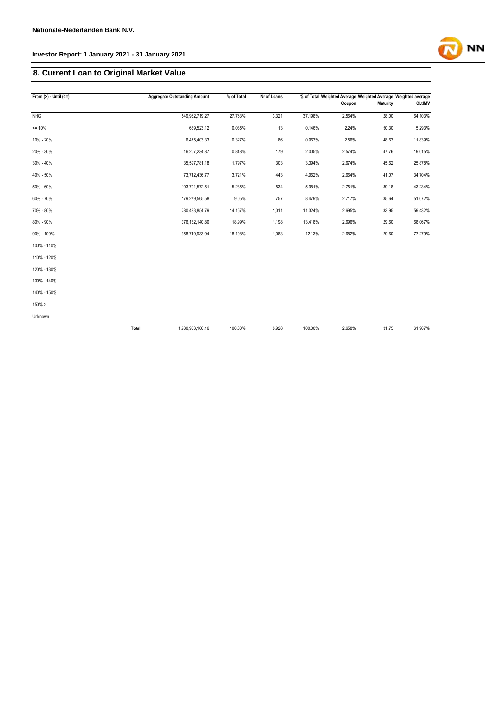### **8. Current Loan to Original Market Value**

| From $(>) -$ Until $(<=)$ |       | <b>Aggregate Outstanding Amount</b> | % of Total | Nr of Loans |         | % of Total Weighted Average Weighted Average Weighted average |                 |               |
|---------------------------|-------|-------------------------------------|------------|-------------|---------|---------------------------------------------------------------|-----------------|---------------|
|                           |       |                                     |            |             |         | Coupon                                                        | <b>Maturity</b> | <b>CLtIMV</b> |
| NHG                       |       | 549,962,719.27                      | 27.763%    | 3,321       | 37.198% | 2.564%                                                        | 28.00           | 64.103%       |
| $= 10%$                   |       | 689,523.12                          | 0.035%     | 13          | 0.146%  | 2.24%                                                         | 50.30           | 5.293%        |
| 10% - 20%                 |       | 6,475,403.33                        | 0.327%     | 86          | 0.963%  | 2.56%                                                         | 48.63           | 11.839%       |
| 20% - 30%                 |       | 16,207,234.87                       | 0.818%     | 179         | 2.005%  | 2.574%                                                        | 47.76           | 19.015%       |
| 30% - 40%                 |       | 35,597,781.18                       | 1.797%     | 303         | 3.394%  | 2.674%                                                        | 45.62           | 25.878%       |
| 40% - 50%                 |       | 73,712,436.77                       | 3.721%     | 443         | 4.962%  | 2.664%                                                        | 41.07           | 34.704%       |
| 50% - 60%                 |       | 103,701,572.51                      | 5.235%     | 534         | 5.981%  | 2.751%                                                        | 39.18           | 43.234%       |
| 60% - 70%                 |       | 179,279,565.58                      | 9.05%      | 757         | 8.479%  | 2.717%                                                        | 35.64           | 51.072%       |
| 70% - 80%                 |       | 280,433,854.79                      | 14.157%    | 1,011       | 11.324% | 2.695%                                                        | 33.95           | 59.432%       |
| 80% - 90%                 |       | 376,182,140.80                      | 18.99%     | 1,198       | 13.418% | 2.696%                                                        | 29.60           | 68.067%       |
| 90% - 100%                |       | 358,710,933.94                      | 18.108%    | 1,083       | 12.13%  | 2.682%                                                        | 29.60           | 77.279%       |
| 100% - 110%               |       |                                     |            |             |         |                                                               |                 |               |
| 110% - 120%               |       |                                     |            |             |         |                                                               |                 |               |
| 120% - 130%               |       |                                     |            |             |         |                                                               |                 |               |
| 130% - 140%               |       |                                     |            |             |         |                                                               |                 |               |
| 140% - 150%               |       |                                     |            |             |         |                                                               |                 |               |
| 150% >                    |       |                                     |            |             |         |                                                               |                 |               |
| Unknown                   |       |                                     |            |             |         |                                                               |                 |               |
|                           | Total | 1,980,953,166.16                    | 100.00%    | 8,928       | 100.00% | 2.658%                                                        | 31.75           | 61.967%       |

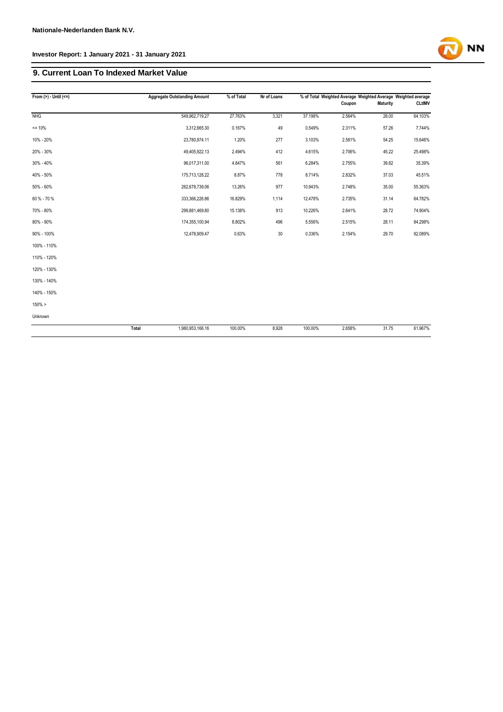### **9. Current Loan To Indexed Market Value**

| From $(>) -$ Until $(<=)$ |       | <b>Aggregate Outstanding Amount</b> | % of Total | Nr of Loans |         | % of Total Weighted Average Weighted Average Weighted average<br>Coupon | <b>Maturity</b> | <b>CLtIMV</b> |
|---------------------------|-------|-------------------------------------|------------|-------------|---------|-------------------------------------------------------------------------|-----------------|---------------|
| <b>NHG</b>                |       | 549,962,719.27                      | 27.763%    | 3,321       | 37.198% | 2.564%                                                                  | 28.00           | 64.103%       |
|                           |       |                                     |            |             |         |                                                                         |                 |               |
| $= 10%$                   |       | 3,312,665.30                        | 0.167%     | 49          | 0.549%  | 2.311%                                                                  | 57.26           | 7.744%        |
| 10% - 20%                 |       | 23,780,974.11                       | 1.20%      | 277         | 3.103%  | 2.581%                                                                  | 54.25           | 15.646%       |
| 20% - 30%                 |       | 49,405,922.13                       | 2.494%     | 412         | 4.615%  | 2.706%                                                                  | 45.22           | 25.498%       |
| 30% - 40%                 |       | 96,017,311.00                       | 4.847%     | 561         | 6.284%  | 2.755%                                                                  | 39.82           | 35.39%        |
| 40% - 50%                 |       | 175,713,128.22                      | 8.87%      | 778         | 8.714%  | 2.832%                                                                  | 37.03           | 45.51%        |
| 50% - 60%                 |       | 262,678,739.06                      | 13.26%     | 977         | 10.943% | 2.748%                                                                  | 35.00           | 55.363%       |
| 60 % - 70 %               |       | 333,366,226.86                      | 16.829%    | 1,114       | 12.478% | 2.735%                                                                  | 31.14           | 64.782%       |
| 70% - 80%                 |       | 299,881,469.80                      | 15.138%    | 913         | 10.226% | 2.641%                                                                  | 28.72           | 74.904%       |
| 80% - 90%                 |       | 174,355,100.94                      | 8.802%     | 496         | 5.556%  | 2.515%                                                                  | 28.11           | 84.298%       |
| 90% - 100%                |       | 12,478,909.47                       | 0.63%      | 30          | 0.336%  | 2.154%                                                                  | 29.70           | 92.089%       |
| 100% - 110%               |       |                                     |            |             |         |                                                                         |                 |               |
| 110% - 120%               |       |                                     |            |             |         |                                                                         |                 |               |
| 120% - 130%               |       |                                     |            |             |         |                                                                         |                 |               |
| 130% - 140%               |       |                                     |            |             |         |                                                                         |                 |               |
| 140% - 150%               |       |                                     |            |             |         |                                                                         |                 |               |
| $150\% >$                 |       |                                     |            |             |         |                                                                         |                 |               |
| Unknown                   |       |                                     |            |             |         |                                                                         |                 |               |
|                           | Total | 1,980,953,166.16                    | 100.00%    | 8,928       | 100.00% | 2.658%                                                                  | 31.75           | 61.967%       |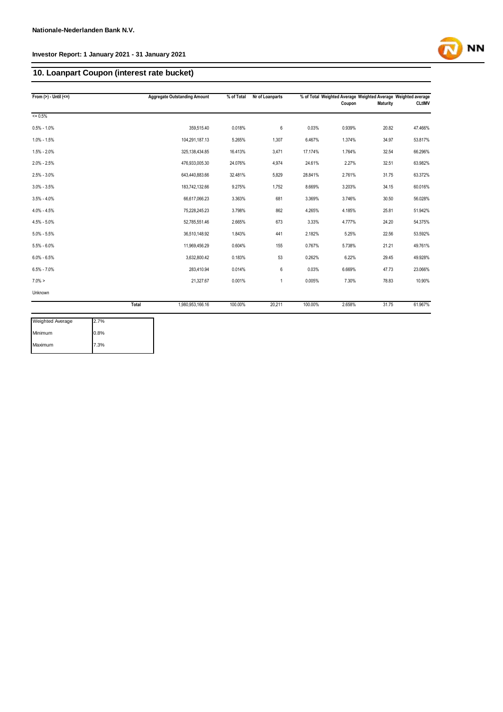### **10. Loanpart Coupon (interest rate bucket)**

| From $(>) -$ Until $(<=)$ |       | <b>Aggregate Outstanding Amount</b> | % of Total | Nr of Loanparts |         | Coupon | % of Total Weighted Average Weighted Average Weighted average<br>Maturity | <b>CLtIMV</b> |
|---------------------------|-------|-------------------------------------|------------|-----------------|---------|--------|---------------------------------------------------------------------------|---------------|
| $= 0.5%$                  |       |                                     |            |                 |         |        |                                                                           |               |
| $0.5\% - 1.0\%$           |       | 359.515.40                          | 0.018%     | 6               | 0.03%   | 0.939% | 20.82                                                                     | 47.466%       |
| $1.0\% - 1.5\%$           |       | 104,291,187.13                      | 5.265%     | 1,307           | 6.467%  | 1.374% | 34.97                                                                     | 53.817%       |
| $1.5\% - 2.0\%$           |       | 325,138,434.85                      | 16.413%    | 3,471           | 17.174% | 1.764% | 32.54                                                                     | 66.296%       |
| $2.0\% - 2.5\%$           |       | 476,933,005.30                      | 24.076%    | 4,974           | 24.61%  | 2.27%  | 32.51                                                                     | 63.982%       |
| $2.5\% - 3.0\%$           |       | 643,440,883.66                      | 32.481%    | 5,829           | 28.841% | 2.761% | 31.75                                                                     | 63.372%       |
| $3.0\% - 3.5\%$           |       | 183,742,132.66                      | 9.275%     | 1,752           | 8.669%  | 3.203% | 34.15                                                                     | 60.016%       |
| $3.5\% - 4.0\%$           |       | 66,617,066.23                       | 3.363%     | 681             | 3.369%  | 3.746% | 30.50                                                                     | 56.028%       |
| $4.0\% - 4.5\%$           |       | 75,228,245.23                       | 3.798%     | 862             | 4.265%  | 4.185% | 25.81                                                                     | 51.942%       |
| $4.5\% - 5.0\%$           |       | 52,785,551.46                       | 2.665%     | 673             | 3.33%   | 4.777% | 24.20                                                                     | 54.375%       |
| $5.0\% - 5.5\%$           |       | 36,510,148.92                       | 1.843%     | 441             | 2.182%  | 5.25%  | 22.56                                                                     | 53.592%       |
| $5.5\% - 6.0\%$           |       | 11,969,456.29                       | 0.604%     | 155             | 0.767%  | 5.738% | 21.21                                                                     | 49.761%       |
| $6.0\% - 6.5\%$           |       | 3,632,800.42                        | 0.183%     | 53              | 0.262%  | 6.22%  | 29.45                                                                     | 49.928%       |
| $6.5\% - 7.0\%$           |       | 283.410.94                          | 0.014%     | 6               | 0.03%   | 6.669% | 47.73                                                                     | 23.066%       |
| $7.0\% >$                 |       | 21,327.67                           | 0.001%     | $\mathbf{1}$    | 0.005%  | 7.30%  | 78.83                                                                     | 10.90%        |
| Unknown                   |       |                                     |            |                 |         |        |                                                                           |               |
|                           | Total | 1,980,953,166.16                    | 100.00%    | 20,211          | 100.00% | 2.658% | 31.75                                                                     | 61.967%       |

| Weighted Average | 2.7% |
|------------------|------|
| Minimum          | 0.8% |
| Maximum          | 7.3% |

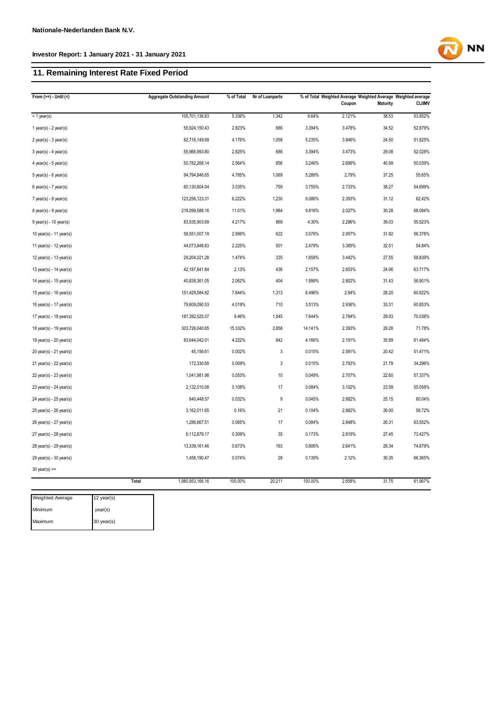### **11. Remaining Interest Rate Fixed Period**

| From $(>=) -$ Until $($               | <b>Aggregate Outstanding Amount</b> | % of Total | Nr of Loanparts |         | % of Total Weighted Average Weighted Average Weighted average<br>Coupon | <b>Maturity</b> | <b>CLtIMV</b> |
|---------------------------------------|-------------------------------------|------------|-----------------|---------|-------------------------------------------------------------------------|-----------------|---------------|
| < 1 year(s)                           | 105,701,136.83                      | 5.336%     | 1,342           | 6.64%   | 2.121%                                                                  | 38.53           | 53.952%       |
| 1 year(s) - $2$ year(s)               | 55,924,150.43                       | 2.823%     | 686             | 3.394%  | 3.478%                                                                  | 34.52           | 52.879%       |
| $2$ year(s) - $3$ year(s)             | 82,716,149.69                       | 4.176%     | 1,058           | 5.235%  | 3.846%                                                                  | 24.50           | 51.825%       |
| $3$ year(s) - 4 year(s)               | 55,966,993.80                       | 2.825%     | 686             | 3.394%  | 3.473%                                                                  | 29.08           | 52.028%       |
| 4 year(s) - $5$ year(s)               | 50,782,268.14                       | 2.564%     | 656             | 3.246%  | 2.699%                                                                  | 40.99           | 50.039%       |
| $5$ year(s) - $6$ year(s)             | 94,794,846.65                       | 4.785%     | 1,069           | 5.289%  | 2.79%                                                                   | 37.25           | 55.65%        |
| $6$ year(s) - 7 year(s)               | 60,130,804.04                       | 3.035%     | 759             | 3.755%  | 2.733%                                                                  | 38.27           | 54.699%       |
| $7$ year(s) - 8 year(s)               | 123,256,123.31                      | 6.222%     | 1,230           | 6.086%  | 2.393%                                                                  | 31.12           | 62.42%        |
| $8$ year(s) - $9$ year(s)             | 218,099,588.16                      | 11.01%     | 1,984           | 9.816%  | 2.027%                                                                  | 30.28           | 68.094%       |
| $9$ year(s) - 10 year(s)              | 83,535,903.69                       | 4.217%     | 869             | 4.30%   | 2.296%                                                                  | 39.03           | 55.523%       |
| 10 year(s) - 11 year(s)               | 58,551,007.19                       | 2.956%     | 622             | 3.078%  | 2.957%                                                                  | 31.82           | 56.378%       |
| 11 year(s) - 12 year(s)               | 44,073,848.83                       | 2.225%     | 501             | 2.479%  | 3.385%                                                                  | 32.51           | 54.84%        |
| 12 year(s) - 13 year(s)               | 29,204,021.28                       | 1.474%     | 335             | 1.658%  | 3.442%                                                                  | 27.55           | 58.839%       |
| 13 year(s) - 14 year(s)               | 42,187,841.84                       | 2.13%      | 436             | 2.157%  | 2.653%                                                                  | 24.06           | 63.717%       |
| 14 year(s) - 15 year(s)               | 40,838,361.05                       | 2.062%     | 404             | 1.999%  | 2.802%                                                                  | 31.43           | 56.901%       |
| 15 year(s) - 16 year(s)               | 151,429,584.82                      | 7.644%     | 1,313           | 6.496%  | 2.94%                                                                   | 28.20           | 60.822%       |
| 16 year(s) - 17 year(s)               | 79,609,090.53                       | 4.019%     | 710             | 3.513%  | 2.936%                                                                  | 33.31           | 60.853%       |
| 17 year(s) - 18 year(s)               | 187,392,525.07                      | 9.46%      | 1,545           | 7.644%  | 2.784%                                                                  | 29.93           | 70.038%       |
| 18 year(s) - 19 year(s)               | 303,726,040.65                      | 15.332%    | 2,858           | 14.141% | 2.393%                                                                  | 29.28           | 71.78%        |
| 19 year(s) - 20 year(s)               | 83,644,042.01                       | 4.222%     | 842             | 4.166%  | 2.191%                                                                  | 35.89           | 61.484%       |
| 20 year(s) - 21 year(s)               | 45,156.61                           | 0.002%     | 3               | 0.015%  | 2.581%                                                                  | 20.42           | 51.471%       |
| 21 year(s) - 22 year(s)               | 172,330.65                          | 0.009%     | 3               | 0.015%  | 2.793%                                                                  | 21.79           | 34.296%       |
| 22 year(s) - 23 year(s)               | 1,041,981.98                        | 0.053%     | $10$            | 0.049%  | 2.707%                                                                  | 22.60           | 57.337%       |
| 23 year(s) - 24 year(s)               | 2,132,010.08                        | 0.108%     | 17              | 0.084%  | 3.102%                                                                  | 23.59           | 55.058%       |
| 24 year(s) - 25 year(s)               | 640,448.57                          | 0.032%     | 9               | 0.045%  | 2.682%                                                                  | 25.15           | 60.04%        |
| 25 year(s) - 26 year(s)               | 3,162,011.65                        | 0.16%      | 21              | 0.104%  | 2.882%                                                                  | 26.00           | 58.72%        |
| 26 year(s) - 27 year(s)               | 1,286,667.51                        | 0.065%     | 17              | 0.084%  | 2.848%                                                                  | 26.31           | 63.552%       |
| $27$ year(s) - $28$ year(s)           | 6,112,879.17                        | 0.309%     | 35              | 0.173%  | 2.819%                                                                  | 27.45           | 73.427%       |
| 28 year(s) - 29 year(s)               | 13,339,161.46                       | 0.673%     | 163             | 0.806%  | 2.641%                                                                  | 28.34           | 74.879%       |
| 29 year(s) - 30 year(s)               | 1,456,190.47                        | 0.074%     | 28              | 0.139%  | 2.12%                                                                   | 30.35           | 66.365%       |
| $30$ year(s) >=                       |                                     |            |                 |         |                                                                         |                 |               |
|                                       | Total<br>1,980,953,166.16           | 100.00%    | 20,211          | 100.00% | 2.658%                                                                  | 31.75           | 61.967%       |
| <b>Weighted Average</b><br>12 year(s) |                                     |            |                 |         |                                                                         |                 |               |

| Weighted Average | $12$ year(s) |
|------------------|--------------|
| Minimum          | year(s)      |
| Maximum          | 30 year(s)   |

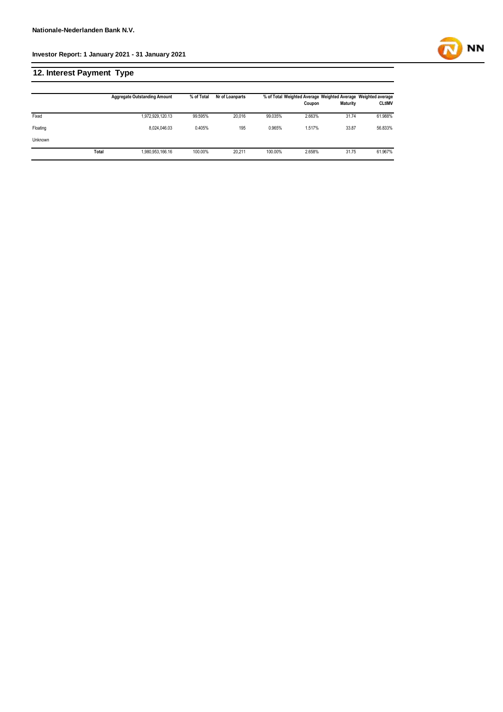### **12. Interest Payment Type**

|                |       | <b>Aggregate Outstanding Amount</b> | % of Total | Nr of Loanparts |         | Coupon | <b>Maturity</b> | % of Total Weighted Average Weighted Average Weighted average<br><b>CLtIMV</b> |
|----------------|-------|-------------------------------------|------------|-----------------|---------|--------|-----------------|--------------------------------------------------------------------------------|
| Fixed          |       | 1,972,929,120.13                    | 99.595%    | 20,016          | 99.035% | 2.663% | 31.74           | 61.988%                                                                        |
| Floating       |       | 8.024.046.03                        | 0.405%     | 195             | 0.965%  | 1.517% | 33.87           | 56.833%                                                                        |
| <b>Unknown</b> |       |                                     |            |                 |         |        |                 |                                                                                |
|                | Total | 1,980,953,166.16                    | 100.00%    | 20.211          | 100.00% | 2.658% | 31.75           | 61.967%                                                                        |

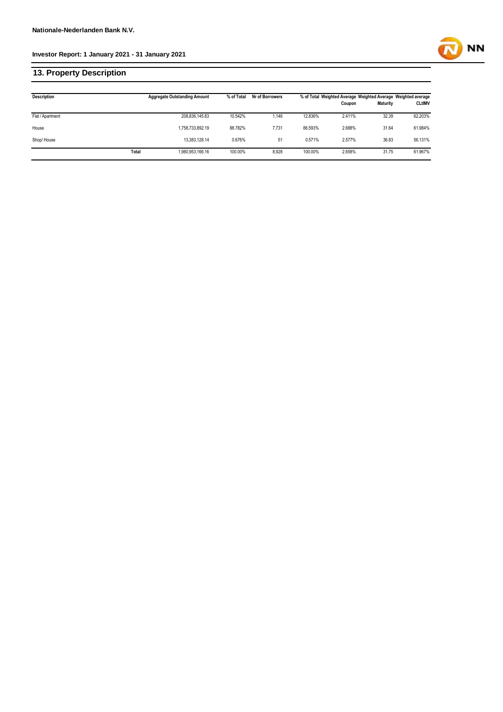## **13. Property Description**

| <b>Description</b> |       | <b>Aggregate Outstanding Amount</b> | % of Total | Nr of Borrowers |         | % of Total Weighted Average Weighted Average Weighted average<br>Coupon | <b>Maturity</b> | <b>CLtIMV</b> |
|--------------------|-------|-------------------------------------|------------|-----------------|---------|-------------------------------------------------------------------------|-----------------|---------------|
| Flat / Apartment   |       | 208,836,145.83                      | 10.542%    | 1.146           | 12.836% | 2.411%                                                                  | 32.39           | 62.203%       |
| House              |       | 1,758,733,892.19                    | 88.782%    | 7,731           | 86.593% | 2.688%                                                                  | 31.64           | 61.984%       |
| Shop/House         |       | 13.383.128.14                       | 0.676%     | 51              | 0.571%  | 2.577%                                                                  | 36.83           | 56.131%       |
|                    | Total | 1,980,953,166.16                    | 100.00%    | 8,928           | 100.00% | 2.658%                                                                  | 31.75           | 61.967%       |

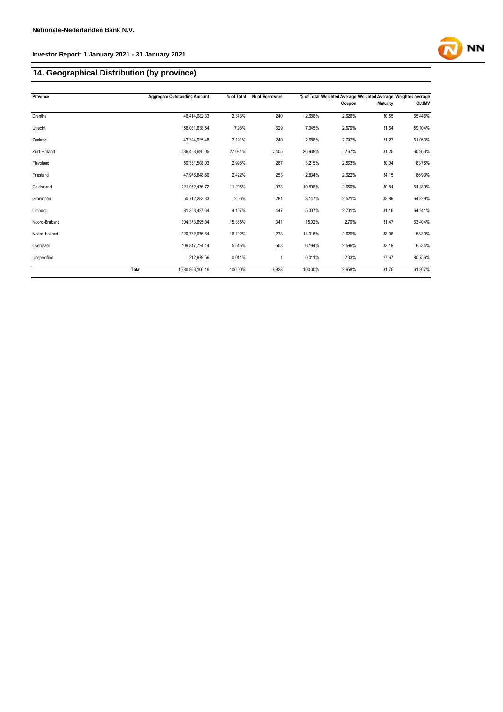### **14. Geographical Distribution (by province)**

| Province      |       | <b>Aggregate Outstanding Amount</b> | % of Total | Nr of Borrowers |         | % of Total Weighted Average Weighted Average Weighted average |                 |               |
|---------------|-------|-------------------------------------|------------|-----------------|---------|---------------------------------------------------------------|-----------------|---------------|
|               |       |                                     |            |                 |         | Coupon                                                        | <b>Maturity</b> | <b>CLtIMV</b> |
| Drenthe       |       | 46,414,082.33                       | 2.343%     | 240             | 2.688%  | 2.626%                                                        | 30.55           | 65.446%       |
| Utrecht       |       | 158,081,638.54                      | 7.98%      | 629             | 7.045%  | 2.679%                                                        | 31.64           | 59.104%       |
| Zeeland       |       | 43.394.935.48                       | 2.191%     | 240             | 2.688%  | 2.797%                                                        | 31.27           | 61.063%       |
| Zuid-Holland  |       | 536,458,690.05                      | 27.081%    | 2,405           | 26.938% | 2.67%                                                         | 31.25           | 60.963%       |
| Flevoland     |       | 59,381,508.03                       | 2.998%     | 287             | 3.215%  | 2.563%                                                        | 30.04           | 63.75%        |
| Friesland     |       | 47,976,848.66                       | 2.422%     | 253             | 2.834%  | 2.622%                                                        | 34.15           | 66.93%        |
| Gelderland    |       | 221,972,476.72                      | 11.205%    | 973             | 10.898% | 2.659%                                                        | 30.84           | 64.489%       |
| Groningen     |       | 50,712,283.33                       | 2.56%      | 281             | 3.147%  | 2.521%                                                        | 33.89           | 64.829%       |
| Limburg       |       | 81,363,427.64                       | 4.107%     | 447             | 5.007%  | 2.701%                                                        | 31.16           | 64.241%       |
| Noord-Brabant |       | 304,373,895.04                      | 15.365%    | 1,341           | 15.02%  | 2.70%                                                         | 31.47           | 63.404%       |
| Noord-Holland |       | 320,762,676.64                      | 16.192%    | 1,278           | 14.315% | 2.629%                                                        | 33.06           | 58.30%        |
| Overijssel    |       | 109,847,724.14                      | 5.545%     | 553             | 6.194%  | 2.596%                                                        | 33.19           | 65.34%        |
| Unspecified   |       | 212,979.56                          | 0.011%     | 1               | 0.011%  | 2.33%                                                         | 27.67           | 80.756%       |
|               | Total | 1,980,953,166.16                    | 100.00%    | 8,928           | 100.00% | 2.658%                                                        | 31.75           | 61.967%       |

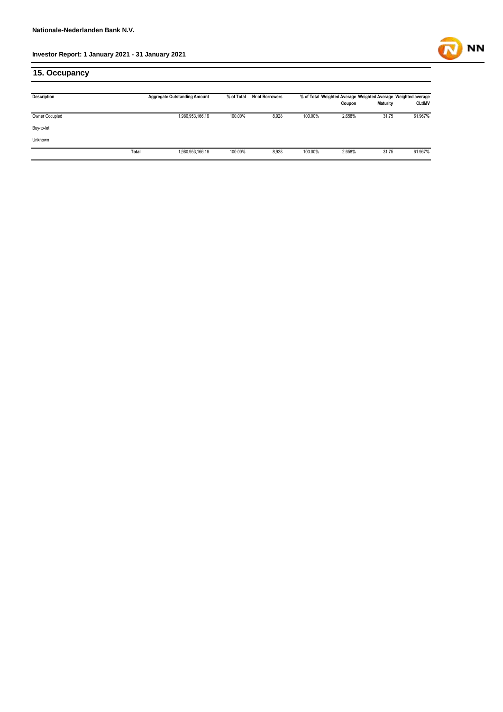

### **15. Occupancy**

| <b>Description</b> |       | <b>Aggregate Outstanding Amount</b> | % of Total | Nr of Borrowers |         | % of Total Weighted Average Weighted Average Weighted average<br>Coupon | <b>Maturity</b> | <b>CLtIMV</b> |
|--------------------|-------|-------------------------------------|------------|-----------------|---------|-------------------------------------------------------------------------|-----------------|---------------|
|                    |       |                                     |            |                 |         |                                                                         |                 |               |
| Owner Occupied     |       | 1,980,953,166.16                    | 100.00%    | 8,928           | 100.00% | 2.658%                                                                  | 31.75           | 61.967%       |
| Buy-to-let         |       |                                     |            |                 |         |                                                                         |                 |               |
| Unknown            |       |                                     |            |                 |         |                                                                         |                 |               |
|                    | Total | 1,980,953,166.16                    | 100.00%    | 8,928           | 100.00% | 2.658%                                                                  | 31.75           | 61.967%       |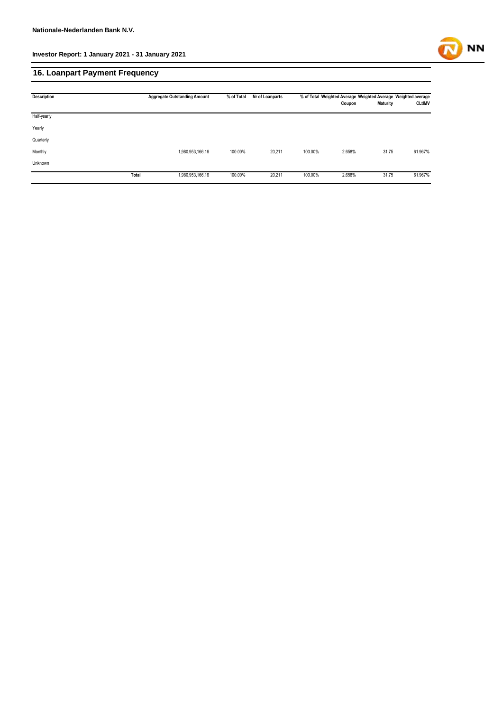

### **16. Loanpart Payment Frequency**

| <b>Description</b> | <b>Aggregate Outstanding Amount</b> |                  | % of Total | Nr of Loanparts | % of Total Weighted Average Weighted Average Weighted average |        |                 |               |
|--------------------|-------------------------------------|------------------|------------|-----------------|---------------------------------------------------------------|--------|-----------------|---------------|
|                    |                                     |                  |            |                 |                                                               | Coupon | <b>Maturity</b> | <b>CLtIMV</b> |
| Half-yearly        |                                     |                  |            |                 |                                                               |        |                 |               |
| Yearly             |                                     |                  |            |                 |                                                               |        |                 |               |
| Quarterly          |                                     |                  |            |                 |                                                               |        |                 |               |
| Monthly            |                                     | 1,980,953,166.16 | 100.00%    | 20,211          | 100.00%                                                       | 2.658% | 31.75           | 61.967%       |
| Unknown            |                                     |                  |            |                 |                                                               |        |                 |               |
|                    | Total                               | 1,980,953,166.16 | 100.00%    | 20,211          | 100.00%                                                       | 2.658% | 31.75           | 61.967%       |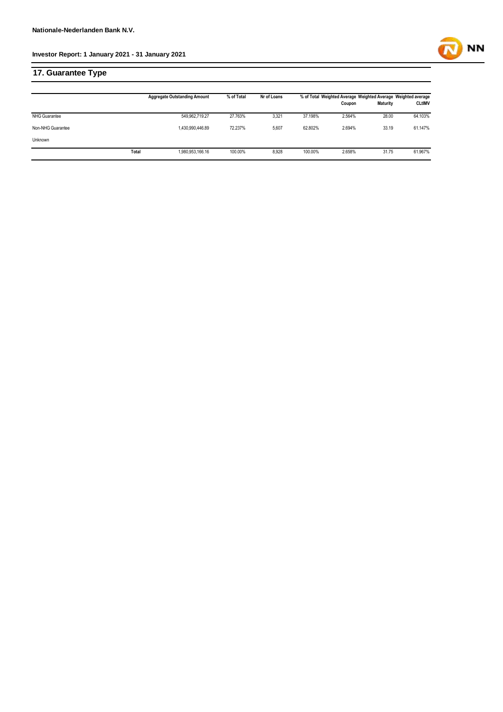**17. Guarantee Type**

|                   |       | <b>Aggregate Outstanding Amount</b> | % of Total | Nr of Loans | % of Total Weighted Average Weighted Average Weighted average |        |                 |               |
|-------------------|-------|-------------------------------------|------------|-------------|---------------------------------------------------------------|--------|-----------------|---------------|
|                   |       |                                     |            |             |                                                               | Coupon | <b>Maturity</b> | <b>CLtIMV</b> |
| NHG Guarantee     |       | 549,962,719.27                      | 27.763%    | 3,321       | 37.198%                                                       | 2.564% | 28.00           | 64.103%       |
| Non-NHG Guarantee |       | 1,430,990,446.89                    | 72.237%    | 5,607       | 62.802%                                                       | 2.694% | 33.19           | 61.147%       |
| Unknown           |       |                                     |            |             |                                                               |        |                 |               |
|                   | Total | 1,980,953,166.16                    | 100.00%    | 8,928       | 100.00%                                                       | 2.658% | 31.75           | 61.967%       |

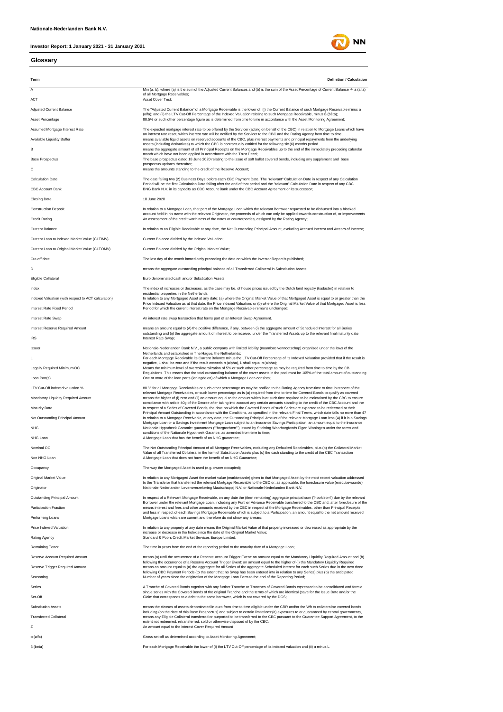#### **Glossary**



**NN**